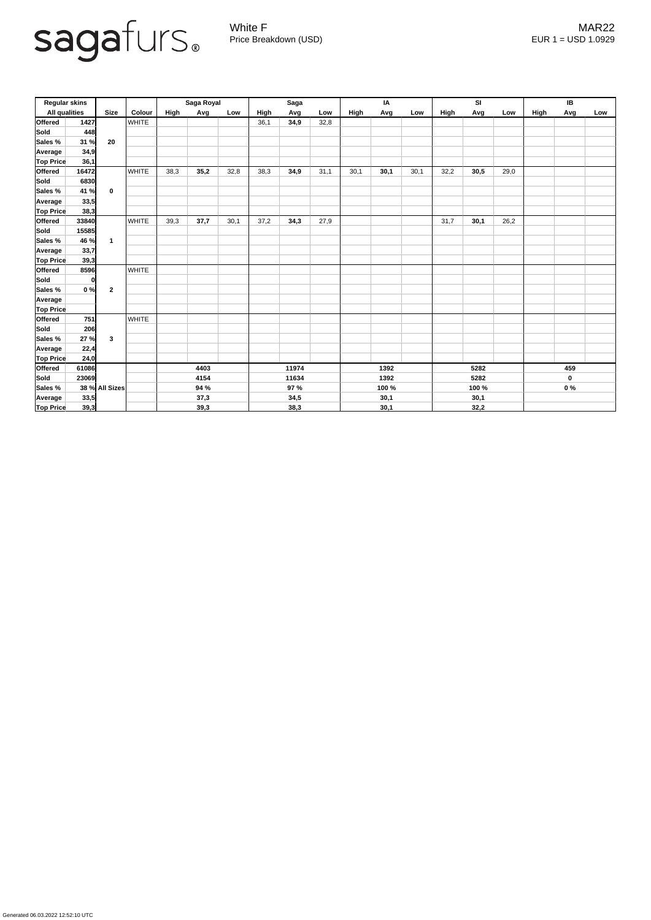

Generated 06.03.2022 12:52:10 UTC

White F MAR22 Price Breakdown (USD) error and the USD 1.0929

| <b>Regular skins</b> |       |                |              | Saga Royal |      |       | <b>Saga</b> |      |       | IA   |       |      | SI   |             |      | IB          |     |     |
|----------------------|-------|----------------|--------------|------------|------|-------|-------------|------|-------|------|-------|------|------|-------------|------|-------------|-----|-----|
| <b>All qualities</b> |       | <b>Size</b>    | Colour       | High       | Avg  | Low   | High        | Avg  | Low   | High | Avg   | Low  | High | Avg         | Low  | <b>High</b> | Avg | Low |
| <b>Offered</b>       | 1427  | 20             | <b>WHITE</b> |            |      |       | 36,1        | 34,9 | 32,8  |      |       |      |      |             |      |             |     |     |
| Sold                 | 448   |                |              |            |      |       |             |      |       |      |       |      |      |             |      |             |     |     |
| Sales %              | 31 %  |                |              |            |      |       |             |      |       |      |       |      |      |             |      |             |     |     |
| Average              | 34,9  |                |              |            |      |       |             |      |       |      |       |      |      |             |      |             |     |     |
| <b>Top Price</b>     | 36,1  |                |              |            |      |       |             |      |       |      |       |      |      |             |      |             |     |     |
| <b>Offered</b>       | 16472 | $\mathbf 0$    | <b>WHITE</b> | 38,3       | 35,2 | 32,8  | 38,3        | 34,9 | 31,1  | 30,1 | 30,1  | 30,1 | 32,2 | 30,5        | 29,0 |             |     |     |
| Sold                 | 6830  |                |              |            |      |       |             |      |       |      |       |      |      |             |      |             |     |     |
| Sales %              | 41 %  |                |              |            |      |       |             |      |       |      |       |      |      |             |      |             |     |     |
| Average              | 33,5  |                |              |            |      |       |             |      |       |      |       |      |      |             |      |             |     |     |
| <b>Top Price</b>     | 38,3  |                |              |            |      |       |             |      |       |      |       |      |      |             |      |             |     |     |
| <b>Offered</b>       | 33840 |                | <b>WHITE</b> | 39,3       | 37,7 | 30,1  | 37,2        | 34,3 | 27,9  |      |       |      | 31,7 | 30,1        | 26,2 |             |     |     |
| Sold                 | 15585 |                |              |            |      |       |             |      |       |      |       |      |      |             |      |             |     |     |
| Sales %              | 46 %  | $\mathbf 1$    |              |            |      |       |             |      |       |      |       |      |      |             |      |             |     |     |
| Average              | 33,7  |                |              |            |      |       |             |      |       |      |       |      |      |             |      |             |     |     |
| <b>Top Price</b>     | 39,3  |                |              |            |      |       |             |      |       |      |       |      |      |             |      |             |     |     |
| <b>Offered</b>       | 8596  |                | <b>WHITE</b> |            |      |       |             |      |       |      |       |      |      |             |      |             |     |     |
| Sold                 | 0     |                |              |            |      |       |             |      |       |      |       |      |      |             |      |             |     |     |
| Sales %              | 0%    | $\overline{2}$ |              |            |      |       |             |      |       |      |       |      |      |             |      |             |     |     |
| Average              |       |                |              |            |      |       |             |      |       |      |       |      |      |             |      |             |     |     |
| <b>Top Price</b>     |       |                |              |            |      |       |             |      |       |      |       |      |      |             |      |             |     |     |
| <b>Offered</b>       | 751   |                | <b>WHITE</b> |            |      |       |             |      |       |      |       |      |      |             |      |             |     |     |
| Sold                 | 206   |                |              |            |      |       |             |      |       |      |       |      |      |             |      |             |     |     |
| Sales %              | 27 %  | $\mathbf{3}$   |              |            |      |       |             |      |       |      |       |      |      |             |      |             |     |     |
| Average              | 22,4  |                |              |            |      |       |             |      |       |      |       |      |      |             |      |             |     |     |
| <b>Top Price</b>     | 24,0  |                |              |            |      |       |             |      |       |      |       |      |      |             |      |             |     |     |
| <b>Offered</b>       | 61086 |                |              | 4403       |      | 11974 |             | 1392 |       | 5282 |       |      | 459  |             |      |             |     |     |
| Sold                 | 23069 |                |              | 4154       |      |       | 11634       |      | 1392  |      | 5282  |      |      | $\mathbf 0$ |      |             |     |     |
| Sales %              |       | 38 % All Sizes |              | 94 %       |      |       | 97 %        |      | 100 % |      | 100 % |      |      | $0\%$       |      |             |     |     |
| Average              | 33,5  |                |              | 37,3       |      |       | 34,5        |      | 30,1  |      | 30,1  |      |      |             |      |             |     |     |
| <b>Top Price</b>     | 39,3  |                |              | 39,3       |      |       | 38,3        |      | 30,1  |      | 32,2  |      |      |             |      |             |     |     |